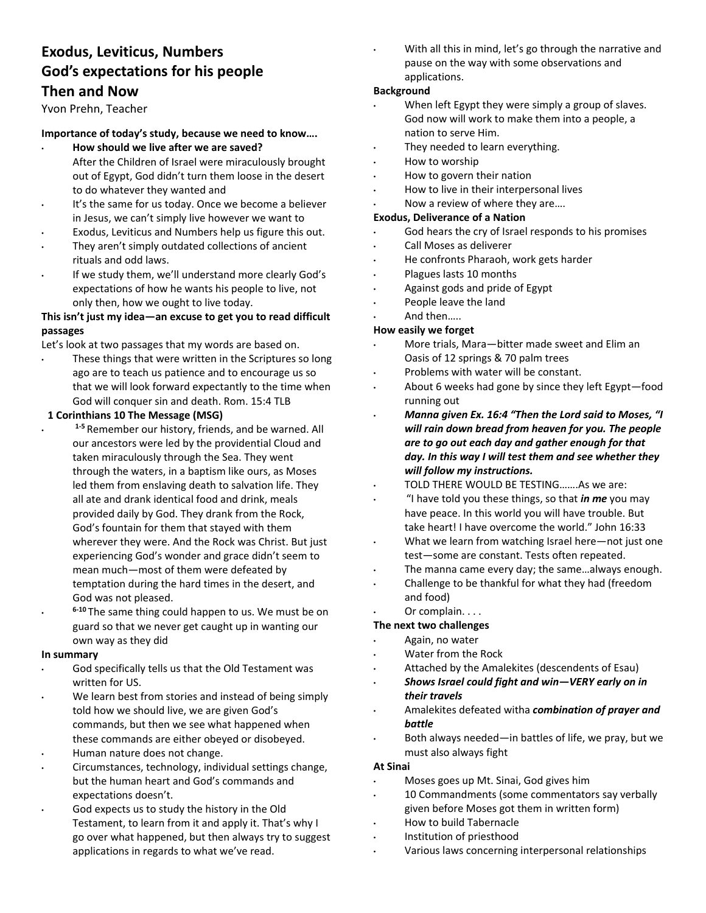# **Exodus, Leviticus, Numbers God's expectations for his people Then and Now**

# Yvon Prehn, Teacher

# **Importance of today's study, because we need to know….**

- **How should we live after we are saved?** After the Children of Israel were miraculously brought out of Egypt, God didn't turn them loose in the desert to do whatever they wanted and
- It's the same for us today. Once we become a believer in Jesus, we can't simply live however we want to
- Exodus, Leviticus and Numbers help us figure this out.
- They aren't simply outdated collections of ancient rituals and odd laws.
- If we study them, we'll understand more clearly God's expectations of how he wants his people to live, not only then, how we ought to live today.

# **This isn't just my idea—an excuse to get you to read difficult passages**

Let's look at two passages that my words are based on.

These things that were written in the Scriptures so long ago are to teach us patience and to encourage us so that we will look forward expectantly to the time when God will conquer sin and death. Rom. 15:4 TLB

#### **1 Corinthians 10 The Message (MSG)**

- **1‐5** Remember our history, friends, and be warned. All our ancestors were led by the providential Cloud and taken miraculously through the Sea. They went through the waters, in a baptism like ours, as Moses led them from enslaving death to salvation life. They all ate and drank identical food and drink, meals provided daily by God. They drank from the Rock, God's fountain for them that stayed with them wherever they were. And the Rock was Christ. But just experiencing God's wonder and grace didn't seem to mean much—most of them were defeated by temptation during the hard times in the desert, and God was not pleased.
- **6‐10** The same thing could happen to us. We must be on guard so that we never get caught up in wanting our own way as they did

#### **In summary**

- God specifically tells us that the Old Testament was written for US.
- We learn best from stories and instead of being simply told how we should live, we are given God's commands, but then we see what happened when these commands are either obeyed or disobeyed.
- Human nature does not change.
- Circumstances, technology, individual settings change, but the human heart and God's commands and expectations doesn't.
- God expects us to study the history in the Old Testament, to learn from it and apply it. That's why I go over what happened, but then always try to suggest applications in regards to what we've read.

With all this in mind, let's go through the narrative and pause on the way with some observations and applications.

# **Background**

- When left Egypt they were simply a group of slaves. God now will work to make them into a people, a nation to serve Him.
- They needed to learn everything.
- How to worship
- How to govern their nation
- How to live in their interpersonal lives
- Now a review of where they are....

# **Exodus, Deliverance of a Nation**

- God hears the cry of Israel responds to his promises
- Call Moses as deliverer
- He confronts Pharaoh, work gets harder
- Plagues lasts 10 months
- Against gods and pride of Egypt
- People leave the land
- And then…..

## **How easily we forget**

- More trials, Mara—bitter made sweet and Elim an Oasis of 12 springs & 70 palm trees
- Problems with water will be constant.
- About 6 weeks had gone by since they left Egypt—food running out
- *Manna given Ex. 16:4 "Then the Lord said to Moses, "I will rain down bread from heaven for you. The people are to go out each day and gather enough for that day. In this way I will test them and see whether they will follow my instructions.*
- TOLD THERE WOULD BE TESTING…….As we are:
- "I have told you these things, so that *in me* you may have peace. In this world you will have trouble. But take heart! I have overcome the world." John 16:33
- What we learn from watching Israel here—not just one test—some are constant. Tests often repeated.
- The manna came every day; the same...always enough.
- Challenge to be thankful for what they had (freedom and food)
- Or complain. . . .

## **The next two challenges**

- Again, no water
- Water from the Rock
- Attached by the Amalekites (descendents of Esau)
- *Shows Israel could fight and win—VERY early on in their travels*
- Amalekites defeated witha *combination of prayer and battle*
- Both always needed—in battles of life, we pray, but we must also always fight

#### **At Sinai**

- Moses goes up Mt. Sinai, God gives him
- 10 Commandments (some commentators say verbally given before Moses got them in written form)
- How to build Tabernacle
- Institution of priesthood
- Various laws concerning interpersonal relationships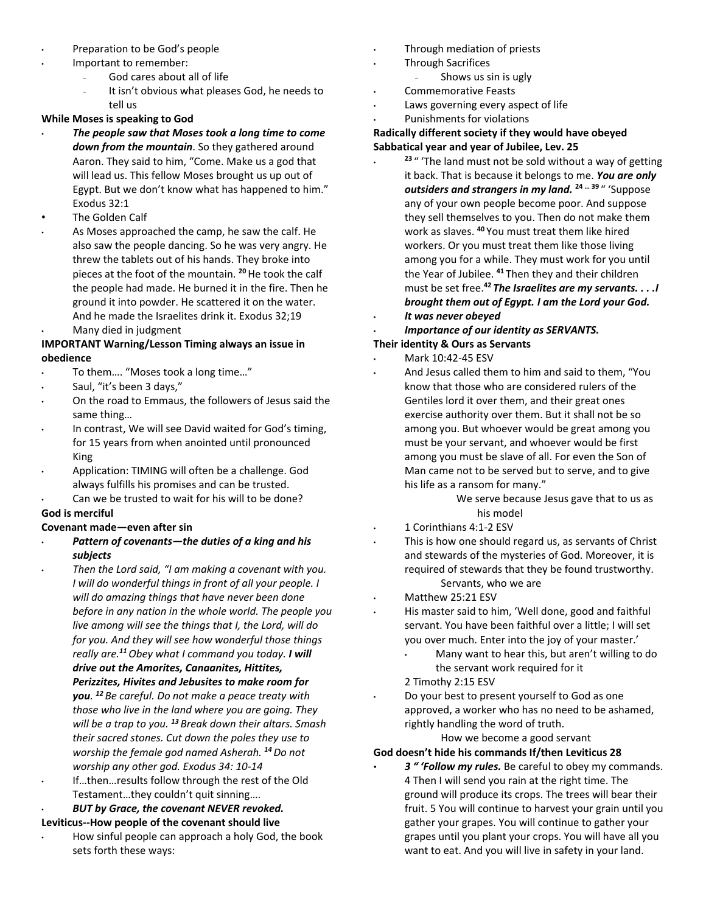- Preparation to be God's people
- Important to remember:
	- God cares about all of life
	- It isn't obvious what pleases God, he needs to tell us

# **While Moses is speaking to God**

- *The people saw that Moses took a long time to come down from the mountain*. So they gathered around Aaron. They said to him, "Come. Make us a god that will lead us. This fellow Moses brought us up out of Egypt. But we don't know what has happened to him." Exodus 32:1
- The Golden Calf
- As Moses approached the camp, he saw the calf. He also saw the people dancing. So he was very angry. He threw the tablets out of his hands. They broke into pieces at the foot of the mountain. **<sup>20</sup>**He took the calf the people had made. He burned it in the fire. Then he ground it into powder. He scattered it on the water. And he made the Israelites drink it. Exodus 32;19 • Many died in judgment

# **IMPORTANT Warning/Lesson Timing always an issue in obedience**

- To them…. "Moses took a long time…"
- Saul, "it's been 3 days,"
- On the road to Emmaus, the followers of Jesus said the same thing…
- In contrast, We will see David waited for God's timing, for 15 years from when anointed until pronounced King
- Application: TIMING will often be a challenge. God always fulfills his promises and can be trusted.
- Can we be trusted to wait for his will to be done? **God is merciful**

# **Covenant made—even after sin**

- *Pattern of covenants—the duties of a king and his subjects*
- *Then the Lord said, "I am making a covenant with you. I will do wonderful things in front of all your people. I will do amazing things that have never been done before in any nation in the whole world. The people you live among will see the things that I, the Lord, will do for you. And they will see how wonderful those things really are.<sup>11</sup>Obey what I command you today. I will drive out the Amorites, Canaanites, Hittites, Perizzites, Hivites and Jebusites to make room for you. <sup>12</sup>Be careful. Do not make a peace treaty with those who live in the land where you are going. They* 
	- *will be a trap to you. <sup>13</sup>Break down their altars. Smash their sacred stones. Cut down the poles they use to worship the female god named Asherah. <sup>14</sup>Do not worship any other god. Exodus 34: 10‐14*  If...then...results follow through the rest of the Old
	- Testament…they couldn't quit sinning….

#### • *BUT by Grace, the covenant NEVER revoked.*  **Leviticus‐‐How people of the covenant should live**

• How sinful people can approach a holy God, the book sets forth these ways:

- Through mediation of priests
- Through Sacrifices
	- Shows us sin is ugly
	- Commemorative Feasts
- Laws governing every aspect of life
- Punishments for violations

# **Radically different society if they would have obeyed Sabbatical year and year of Jubilee, Lev. 25**

- <sup>23</sup> " 'The land must not be sold without a way of getting it back. That is because it belongs to me. *You are only outsiders and strangers in my land.* **24 … 39** " 'Suppose any of your own people become poor. And suppose they sell themselves to you. Then do not make them work as slaves. **<sup>40</sup>**You must treat them like hired workers. Or you must treat them like those living among you for a while. They must work for you until the Year of Jubilee. **<sup>41</sup>**Then they and their children must be set free.**<sup>42</sup>***The Israelites are my servants. . . .I brought them out of Egypt. I am the Lord your God.*
- *It was never obeyed*
- *Importance of our identity as SERVANTS.*

# **Their identity & Ours as Servants**

- Mark 10:42‐45 ESV
- And Jesus called them to him and said to them, "You know that those who are considered rulers of the Gentiles lord it over them, and their great ones exercise authority over them. But it shall not be so among you. But whoever would be great among you must be your servant, and whoever would be first among you must be slave of all. For even the Son of Man came not to be served but to serve, and to give his life as a ransom for many."

We serve because Jesus gave that to us as his model

- 1 Corinthians 4:1‐2 ESV
- This is how one should regard us, as servants of Christ and stewards of the mysteries of God. Moreover, it is required of stewards that they be found trustworthy. Servants, who we are
- Matthew 25:21 ESV
- His master said to him, 'Well done, good and faithful servant. You have been faithful over a little; I will set you over much. Enter into the joy of your master.'
	- Many want to hear this, but aren't willing to do the servant work required for it
	- 2 Timothy 2:15 ESV
- Do your best to present yourself to God as one approved, a worker who has no need to be ashamed, rightly handling the word of truth.

How we become a good servant

# **God doesn't hide his commands If/then Leviticus 28**

• *3 " 'Follow my rules.* Be careful to obey my commands. 4 Then I will send you rain at the right time. The ground will produce its crops. The trees will bear their fruit. 5 You will continue to harvest your grain until you gather your grapes. You will continue to gather your grapes until you plant your crops. You will have all you want to eat. And you will live in safety in your land.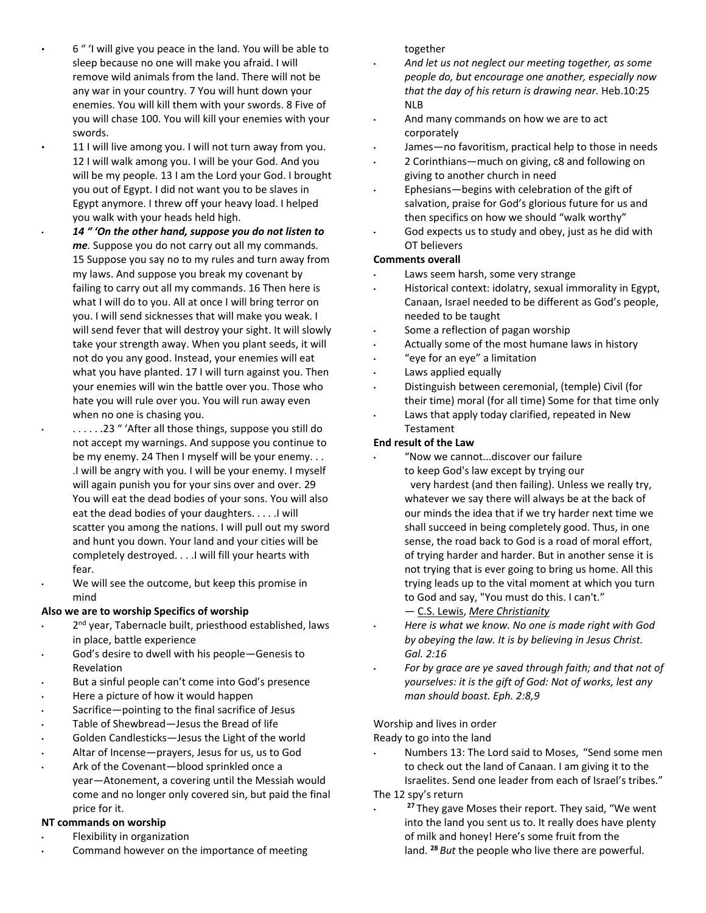- 6 " 'I will give you peace in the land. You will be able to sleep because no one will make you afraid. I will remove wild animals from the land. There will not be any war in your country. 7 You will hunt down your enemies. You will kill them with your swords. 8 Five of you will chase 100. You will kill your enemies with your swords.
- 11 I will live among you. I will not turn away from you. 12 I will walk among you. I will be your God. And you will be my people. 13 I am the Lord your God. I brought you out of Egypt. I did not want you to be slaves in Egypt anymore. I threw off your heavy load. I helped you walk with your heads held high.
- *14 " 'On the other hand, suppose you do not listen to me.* Suppose you do not carry out all my commands. 15 Suppose you say no to my rules and turn away from my laws. And suppose you break my covenant by failing to carry out all my commands. 16 Then here is what I will do to you. All at once I will bring terror on you. I will send sicknesses that will make you weak. I will send fever that will destroy your sight. It will slowly take your strength away. When you plant seeds, it will not do you any good. Instead, your enemies will eat what you have planted. 17 I will turn against you. Then your enemies will win the battle over you. Those who hate you will rule over you. You will run away even when no one is chasing you.
- . . . . . .23 " 'After all those things, suppose you still do not accept my warnings. And suppose you continue to be my enemy. 24 Then I myself will be your enemy. . . .I will be angry with you. I will be your enemy. I myself will again punish you for your sins over and over. 29 You will eat the dead bodies of your sons. You will also eat the dead bodies of your daughters. . . . .I will scatter you among the nations. I will pull out my sword and hunt you down. Your land and your cities will be completely destroyed. . . .I will fill your hearts with fear.
- We will see the outcome, but keep this promise in mind

## **Also we are to worship Specifics of worship**

- 2<sup>nd</sup> year, Tabernacle built, priesthood established, laws in place, battle experience
- God's desire to dwell with his people-Genesis to Revelation
- But a sinful people can't come into God's presence
- Here a picture of how it would happen
- Sacrifice—pointing to the final sacrifice of Jesus
- Table of Shewbread-Jesus the Bread of life
- Golden Candlesticks-Jesus the Light of the world
- Altar of Incense—prayers, Jesus for us, us to God
- Ark of the Covenant—blood sprinkled once a year—Atonement, a covering until the Messiah would come and no longer only covered sin, but paid the final price for it.

# **NT commands on worship**

- Flexibility in organization
- Command however on the importance of meeting

together

- *And let us not neglect our meeting together, as some people do, but encourage one another, especially now that the day of his return is drawing near.* Heb.10:25 NLB
- And many commands on how we are to act corporately
- James—no favoritism, practical help to those in needs
- 2 Corinthians—much on giving, c8 and following on giving to another church in need
- Ephesians—begins with celebration of the gift of salvation, praise for God's glorious future for us and then specifics on how we should "walk worthy"
- God expects us to study and obey, just as he did with OT believers

# **Comments overall**

- Laws seem harsh, some very strange
- Historical context: idolatry, sexual immorality in Egypt, Canaan, Israel needed to be different as God's people, needed to be taught
- Some a reflection of pagan worship
- Actually some of the most humane laws in history
- "eye for an eye" a limitation
- Laws applied equally
- Distinguish between ceremonial, (temple) Civil (for their time) moral (for all time) Some for that time only
- Laws that apply today clarified, repeated in New Testament

# **End result of the Law**

- "Now we cannot...discover our failure to keep God's law except by trying our very hardest (and then failing). Unless we really try, whatever we say there will always be at the back of our minds the idea that if we try harder next time we shall succeed in being completely good. Thus, in one sense, the road back to God is a road of moral effort, of trying harder and harder. But in another sense it is not trying that is ever going to bring us home. All this trying leads up to the vital moment at which you turn to God and say, "You must do this. I can't." ― C.S. Lewis, *Mere Christianity*
- *Here is what we know. No one is made right with God by obeying the law. It is by believing in Jesus Christ. Gal. 2:16*
- *For by grace are ye saved through faith; and that not of yourselves: it is the gift of God: Not of works, lest any man should boast. Eph. 2:8,9*

## Worship and lives in order

Ready to go into the land

- Numbers 13: The Lord said to Moses, "Send some men to check out the land of Canaan. I am giving it to the Israelites. Send one leader from each of Israel's tribes." The 12 spy's return
	- <sup>27</sup> They gave Moses their report. They said, "We went into the land you sent us to. It really does have plenty of milk and honey! Here's some fruit from the land. **28** *But* the people who live there are powerful.